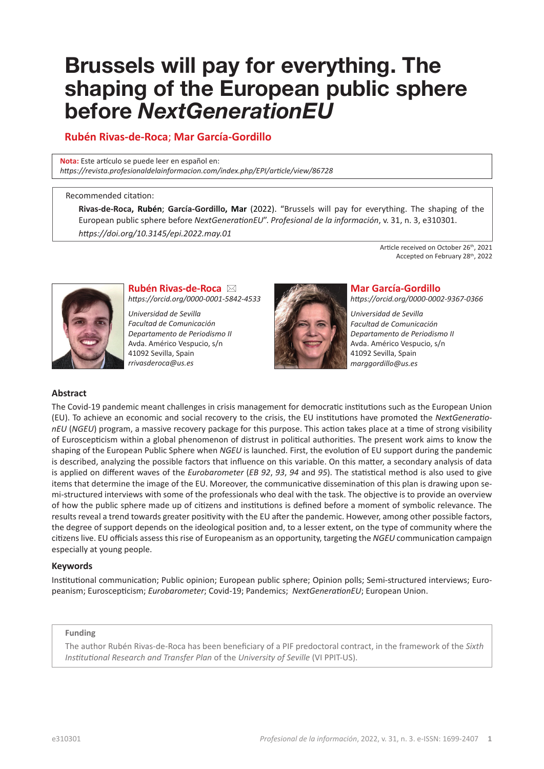# **Brussels will pay for everything. The shaping of the European public sphere before** *NextGenerationEU*

# **Rubén Rivas-de-Roca**; **Mar García-Gordillo**

**Nota:** Este artículo se puede leer en español en: *[https://revista.profesionaldelainformacion.com/index.php/EPI/article/view/8](https://revista.profesionaldelainformacion.com/index.php/EPI/article/view/86728)6728*

#### Recommended citation:

**Rivas-de-Roca, Rubén**; **García-Gordillo, Mar** (2022). "Brussels will pay for everything. The shaping of the European public sphere before *NextGenerationEU*". *Profesional de la información*, v. 31, n. 3, e310301. *[https://doi.org/10.3145/epi.2022.may](https://doi.org/10.3145/epi.2022.may.01).01*

> Article received on October 26<sup>th</sup>, 2021 Accepted on February 28th, 2022



**Rubén Rivas-de-Roca** ⊠ *<https://orcid.org/0000-0001-5842-4533>*

*Universidad de Sevilla Facultad de Comunicación Departamento de Periodismo II* Avda. Américo Vespucio, s/n 41092 Sevilla, Spain *[rrivasderoca@us.es](mailto:rrivasderoca@us.es)*



# **Mar García-Gordillo**

*<https://orcid.org/0000-0002-9367-0366>*

*Universidad de Sevilla Facultad de Comunicación Departamento de Periodismo II* Avda. Américo Vespucio, s/n 41092 Sevilla, Spain *[marggordillo@us.es](mailto:marggordillo@us.es)*

# **Abstract**

The Covid-19 pandemic meant challenges in crisis management for democratic institutions such as the European Union (EU). To achieve an economic and social recovery to the crisis, the EU institutions have promoted the *NextGenerationEU* (*NGEU*) program, a massive recovery package for this purpose. This action takes place at a time of strong visibility of Euroscepticism within a global phenomenon of distrust in political authorities. The present work aims to know the shaping of the European Public Sphere when *NGEU* is launched. First, the evolution of EU support during the pandemic is described, analyzing the possible factors that influence on this variable. On this matter, a secondary analysis of data is applied on different waves of the *Eurobarometer* (*EB 92*, *93*, *94* and *95*). The statistical method is also used to give items that determine the image of the EU. Moreover, the communicative dissemination of this plan is drawing upon semi-structured interviews with some of the professionals who deal with the task. The objective is to provide an overview of how the public sphere made up of citizens and institutions is defined before a moment of symbolic relevance. The results reveal a trend towards greater positivity with the EU after the pandemic. However, among other possible factors, the degree of support depends on the ideological position and, to a lesser extent, on the type of community where the citizens live. EU officials assess this rise of Europeanism as an opportunity, targeting the *NGEU* communication campaign especially at young people.

#### **Keywords**

Institutional communication; Public opinion; European public sphere; Opinion polls; Semi-structured interviews; Europeanism; Euroscepticism; *Eurobarometer*; Covid-19; Pandemics; *NextGenerationEU*; European Union.

#### **Funding**

The author Rubén Rivas-de-Roca has been beneficiary of a PIF predoctoral contract, in the framework of the *Sixth Institutional Research and Transfer Plan* of the *University of Seville* (VI PPIT-US).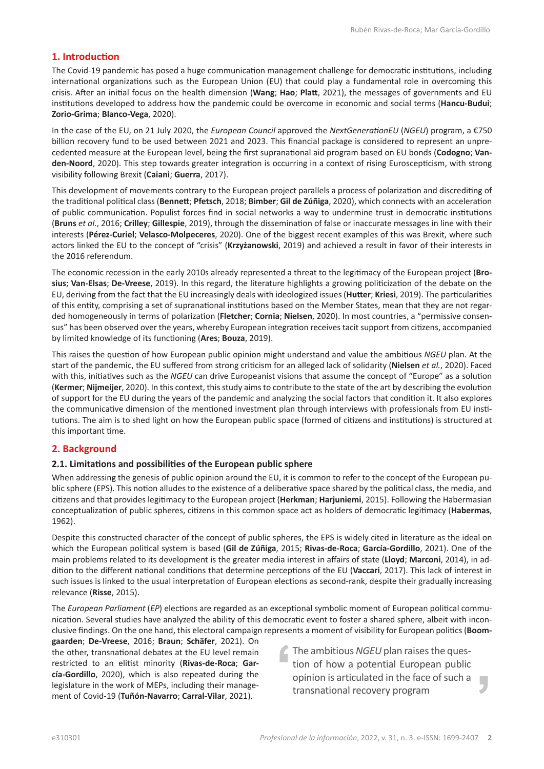# **1. Introduction**

The Covid-19 pandemic has posed a huge communication management challenge for democratic institutions, including international organizations such as the European Union (EU) that could play a fundamental role in overcoming this crisis. After an initial focus on the health dimension (**Wang**; **Hao**; **Platt**, 2021), the messages of governments and EU institutions developed to address how the pandemic could be overcome in economic and social terms (**Hancu-Budui**; **Zorio-Grima**; **Blanco-Vega**, 2020).

In the case of the EU, on 21 July 2020, the *European Council* approved the *NextGenerationEU* (*NGEU*) program, a €750 billion recovery fund to be used between 2021 and 2023. This financial package is considered to represent an unprecedented measure at the European level, being the first supranational aid program based on EU bonds (**Codogno**; **Vanden-Noord**, 2020). This step towards greater integration is occurring in a context of rising Euroscepticism, with strong visibility following Brexit (**Caiani**; **Guerra**, 2017).

This development of movements contrary to the European project parallels a process of polarization and discrediting of the traditional political class (**Bennett**; **Pfetsch**, 2018; **Bimber**; **Gil de Zúñiga**, 2020), which connects with an acceleration of public communication. Populist forces find in social networks a way to undermine trust in democratic institutions (**Bruns** *et al.*, 2016; **Crilley**; **Gillespie**, 2019), through the dissemination of false or inaccurate messages in line with their interests (**Pérez-Curiel**; **Velasco-Molpeceres**, 2020). One of the biggest recent examples of this was Brexit, where such actors linked the EU to the concept of "crisis" (**Krzyżanowski**, 2019) and achieved a result in favor of their interests in the 2016 referendum.

The economic recession in the early 2010s already represented a threat to the legitimacy of the European project (**Brosius**; **Van-Elsas**; **De-Vreese**, 2019). In this regard, the literature highlights a growing politicization of the debate on the EU, deriving from the fact that the EU increasingly deals with ideologized issues (**Hutter**; **Kriesi**, 2019). The particularities of this entity, comprising a set of supranational institutions based on the Member States, mean that they are not regarded homogeneously in terms of polarization (**Fletcher**; **Cornia**; **Nielsen**, 2020). In most countries, a "permissive consensus" has been observed over the years, whereby European integration receives tacit support from citizens, accompanied by limited knowledge of its functioning (**Ares**; **Bouza**, 2019).

This raises the question of how European public opinion might understand and value the ambitious *NGEU* plan. At the start of the pandemic, the EU suffered from strong criticism for an alleged lack of solidarity (**Nielsen** *et al.*, 2020). Faced with this, initiatives such as the *NGEU* can drive Europeanist visions that assume the concept of "Europe" as a solution (**Kermer**; **Nijmeijer**, 2020). In this context, this study aims to contribute to the state of the art by describing the evolution of support for the EU during the years of the pandemic and analyzing the social factors that condition it. It also explores the communicative dimension of the mentioned investment plan through interviews with professionals from EU institutions. The aim is to shed light on how the European public space (formed of citizens and institutions) is structured at this important time.

# **2. Background**

#### **2.1. Limitations and possibilities of the European public sphere**

When addressing the genesis of public opinion around the EU, it is common to refer to the concept of the European public sphere (EPS). This notion alludes to the existence of a deliberative space shared by the political class, the media, and citizens and that provides legitimacy to the European project (**Herkman**; **Harjuniemi**, 2015). Following the Habermasian conceptualization of public spheres, citizens in this common space act as holders of democratic legitimacy (**Habermas**, 1962).

Despite this constructed character of the concept of public spheres, the EPS is widely cited in literature as the ideal on which the European political system is based (**Gil de Zúñiga**, 2015; **Rivas-de-Roca**; **García-Gordillo**, 2021). One of the main problems related to its development is the greater media interest in affairs of state (**Lloyd**; **Marconi**, 2014), in addition to the different national conditions that determine perceptions of the EU (**Vaccari**, 2017). This lack of interest in such issues is linked to the usual interpretation of European elections as second-rank, despite their gradually increasing relevance (**Risse**, 2015).

The *European Parliament* (*EP*) elections are regarded as an exceptional symbolic moment of European political communication. Several studies have analyzed the ability of this democratic event to foster a shared sphere, albeit with inconclusive findings. On the one hand, this electoral campaign represents a moment of visibility for European politics (**Boom-**

**gaarden**; **De-Vreese**, 2016; **Braun**; **Schäfer**, 2021). On the other, transnational debates at the EU level remain restricted to an elitist minority (**Rivas-de-Roca**; **García-Gordillo**, 2020), which is also repeated during the legislature in the work of MEPs, including their management of Covid-19 (**Tuñón-Navarro**; **Carral-Vilar**, 2021).

The ambitious *NGEU* plan raises the question of how a potential European public opinion is articulated in the face of such a L, transnational recovery program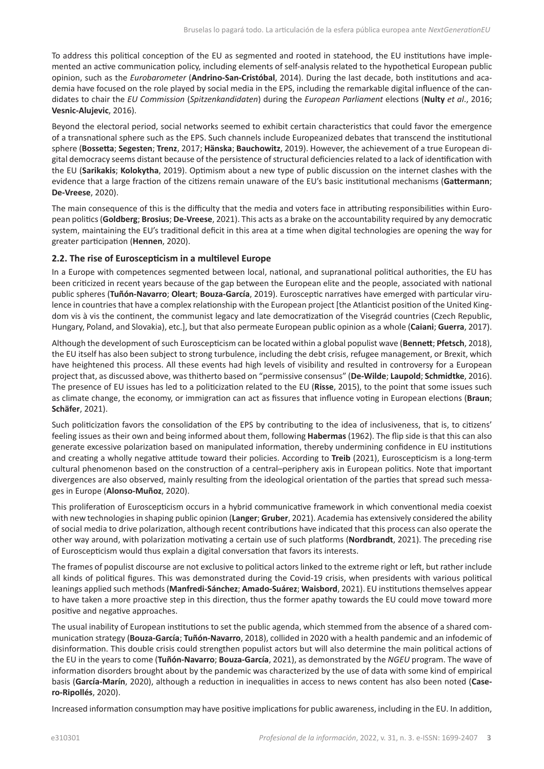To address this political conception of the EU as segmented and rooted in statehood, the EU institutions have implemented an active communication policy, including elements of self-analysis related to the hypothetical European public opinion, such as the *Eurobarometer* (**Andrino-San-Cristóbal**, 2014). During the last decade, both institutions and academia have focused on the role played by social media in the EPS, including the remarkable digital influence of the candidates to chair the *EU Commission* (*Spitzenkandidaten*) during the *European Parliament* elections (**Nulty** *et al*., 2016; **Vesnic-Alujevic**, 2016).

Beyond the electoral period, social networks seemed to exhibit certain characteristics that could favor the emergence of a transnational sphere such as the EPS. Such channels include Europeanized debates that transcend the institutional sphere (**Bossetta**; **Segesten**; **Trenz**, 2017; **Hänska**; **Bauchowitz**, 2019). However, the achievement of a true European digital democracy seems distant because of the persistence of structural deficiencies related to a lack of identification with the EU (**Sarikakis**; **Kolokytha**, 2019). Optimism about a new type of public discussion on the internet clashes with the evidence that a large fraction of the citizens remain unaware of the EU's basic institutional mechanisms (**Gattermann**; **De-Vreese**, 2020).

The main consequence of this is the difficulty that the media and voters face in attributing responsibilities within European politics (**Goldberg**; **Brosius**; **De-Vreese**, 2021). This acts as a brake on the accountability required by any democratic system, maintaining the EU's traditional deficit in this area at a time when digital technologies are opening the way for greater participation (**Hennen**, 2020).

# **2.2. The rise of Euroscepticism in a multilevel Europe**

In a Europe with competences segmented between local, national, and supranational political authorities, the EU has been criticized in recent years because of the gap between the European elite and the people, associated with national public spheres (**Tuñón-Navarro**; **Oleart**; **Bouza-García**, 2019). Eurosceptic narratives have emerged with particular virulence in countries that have a complex relationship with the European project [the Atlanticist position of the United Kingdom vis à vis the continent, the communist legacy and late democratization of the Visegrád countries (Czech Republic, Hungary, Poland, and Slovakia), etc.], but that also permeate European public opinion as a whole (**Caiani**; **Guerra**, 2017).

Although the development of such Euroscepticism can be located within a global populist wave (**Bennett**; **Pfetsch**, 2018), the EU itself has also been subject to strong turbulence, including the debt crisis, refugee management, or Brexit, which have heightened this process. All these events had high levels of visibility and resulted in controversy for a European project that, as discussed above, was thitherto based on "permissive consensus" (**De-Wilde**; **Laupold**; **Schmidtke**, 2016). The presence of EU issues has led to a politicization related to the EU (**Risse**, 2015), to the point that some issues such as climate change, the economy, or immigration can act as fissures that influence voting in European elections (**Braun**; **Schäfer**, 2021).

Such politicization favors the consolidation of the EPS by contributing to the idea of inclusiveness, that is, to citizens' feeling issues as their own and being informed about them, following **Habermas** (1962). The flip side is that this can also generate excessive polarization based on manipulated information, thereby undermining confidence in EU institutions and creating a wholly negative attitude toward their policies. According to **Treib** (2021), Euroscepticism is a long-term cultural phenomenon based on the construction of a central–periphery axis in European politics. Note that important divergences are also observed, mainly resulting from the ideological orientation of the parties that spread such messages in Europe (**Alonso-Muñoz**, 2020).

This proliferation of Euroscepticism occurs in a hybrid communicative framework in which conventional media coexist with new technologies in shaping public opinion (**Langer**; **Gruber**, 2021). Academia has extensively considered the ability of social media to drive polarization, although recent contributions have indicated that this process can also operate the other way around, with polarization motivating a certain use of such platforms (**Nordbrandt**, 2021). The preceding rise of Euroscepticism would thus explain a digital conversation that favors its interests.

The frames of populist discourse are not exclusive to political actors linked to the extreme right or left, but rather include all kinds of political figures. This was demonstrated during the Covid-19 crisis, when presidents with various political leanings applied such methods (**Manfredi-Sánchez**; **Amado-Suárez**; **Waisbord**, 2021). EU institutions themselves appear to have taken a more proactive step in this direction, thus the former apathy towards the EU could move toward more positive and negative approaches.

The usual inability of European institutions to set the public agenda, which stemmed from the absence of a shared communication strategy (**Bouza-García**; **Tuñón-Navarro**, 2018), collided in 2020 with a health pandemic and an infodemic of disinformation. This double crisis could strengthen populist actors but will also determine the main political actions of the EU in the years to come (**Tuñón-Navarro**; **Bouza-García**, 2021), as demonstrated by the *NGEU* program. The wave of information disorders brought about by the pandemic was characterized by the use of data with some kind of empirical basis (**García-Marín**, 2020), although a reduction in inequalities in access to news content has also been noted (**Casero-Ripollés**, 2020).

Increased information consumption may have positive implications for public awareness, including in the EU. In addition,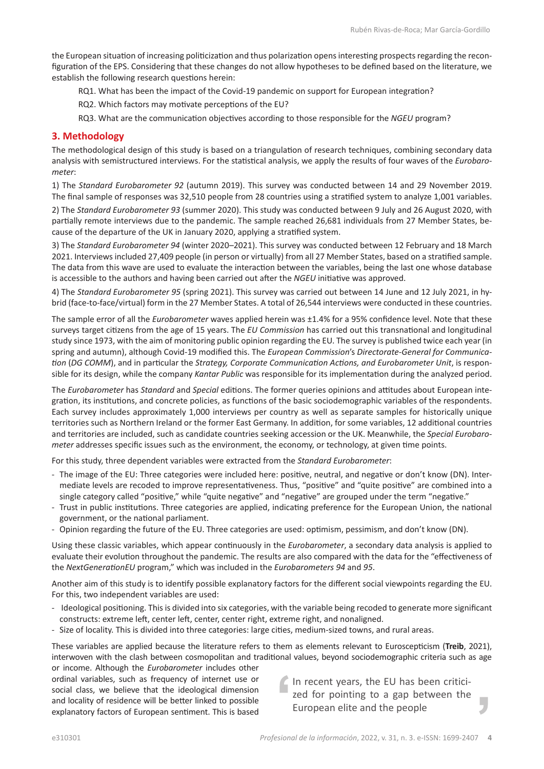the European situation of increasing politicization and thus polarization opens interesting prospects regarding the reconfiguration of the EPS. Considering that these changes do not allow hypotheses to be defined based on the literature, we establish the following research questions herein:

RQ1. What has been the impact of the Covid-19 pandemic on support for European integration?

RQ2. Which factors may motivate perceptions of the EU?

RQ3. What are the communication objectives according to those responsible for the *NGEU* program?

# **3. Methodology**

The methodological design of this study is based on a triangulation of research techniques, combining secondary data analysis with semistructured interviews. For the statistical analysis, we apply the results of four waves of the *Eurobarometer*:

1) The *Standard Eurobarometer 92* (autumn 2019). This survey was conducted between 14 and 29 November 2019. The final sample of responses was 32,510 people from 28 countries using a stratified system to analyze 1,001 variables.

2) The *Standard Eurobarometer 93* (summer 2020). This study was conducted between 9 July and 26 August 2020, with partially remote interviews due to the pandemic. The sample reached 26,681 individuals from 27 Member States, because of the departure of the UK in January 2020, applying a stratified system.

3) The *Standard Eurobarometer 94* (winter 2020–2021). This survey was conducted between 12 February and 18 March 2021. Interviews included 27,409 people (in person or virtually) from all 27 Member States, based on a stratified sample. The data from this wave are used to evaluate the interaction between the variables, being the last one whose database is accessible to the authors and having been carried out after the *NGEU* initiative was approved.

4) The *Standard Eurobarometer 95* (spring 2021). This survey was carried out between 14 June and 12 July 2021, in hybrid (face-to-face/virtual) form in the 27 Member States. A total of 26,544 interviews were conducted in these countries.

The sample error of all the *Eurobarometer* waves applied herein was ±1.4% for a 95% confidence level. Note that these surveys target citizens from the age of 15 years. The *EU Commission* has carried out this transnational and longitudinal study since 1973, with the aim of monitoring public opinion regarding the EU. The survey is published twice each year (in spring and autumn), although Covid-19 modified this. The *European Commission*'s *Directorate-General for Communication* (*DG COMM*), and in particular the *Strategy, Corporate Communication Actions, and Eurobarometer Unit*, is responsible for its design, while the company *Kantar Public* was responsible for its implementation during the analyzed period.

The *Eurobarometer* has *Standard* and *Special* editions. The former queries opinions and attitudes about European integration, its institutions, and concrete policies, as functions of the basic sociodemographic variables of the respondents. Each survey includes approximately 1,000 interviews per country as well as separate samples for historically unique territories such as Northern Ireland or the former East Germany. In addition, for some variables, 12 additional countries and territories are included, such as candidate countries seeking accession or the UK. Meanwhile, the *Special Eurobarometer* addresses specific issues such as the environment, the economy, or technology, at given time points.

For this study, three dependent variables were extracted from the *Standard Eurobarometer*:

- The image of the EU: Three categories were included here: positive, neutral, and negative or don't know (DN). Intermediate levels are recoded to improve representativeness. Thus, "positive" and "quite positive" are combined into a single category called "positive," while "quite negative" and "negative" are grouped under the term "negative."
- Trust in public institutions. Three categories are applied, indicating preference for the European Union, the national government, or the national parliament.
- Opinion regarding the future of the EU. Three categories are used: optimism, pessimism, and don't know (DN).

Using these classic variables, which appear continuously in the *Eurobarometer*, a secondary data analysis is applied to evaluate their evolution throughout the pandemic. The results are also compared with the data for the "effectiveness of the *NextGenerationEU* program," which was included in the *Eurobarometers 94* and *95*.

Another aim of this study is to identify possible explanatory factors for the different social viewpoints regarding the EU. For this, two independent variables are used:

- Ideological positioning. This is divided into six categories, with the variable being recoded to generate more significant constructs: extreme left, center left, center, center right, extreme right, and nonaligned.
- Size of locality. This is divided into three categories: large cities, medium-sized towns, and rural areas.

These variables are applied because the literature refers to them as elements relevant to Euroscepticism (**Treib**, 2021), interwoven with the clash between cosmopolitan and traditional values, beyond sociodemographic criteria such as age or income. Although the *Eurobarometer* includes other

ordinal variables, such as frequency of internet use or social class, we believe that the ideological dimension and locality of residence will be better linked to possible explanatory factors of European sentiment. This is based

In recent years, the EU has been criticized for pointing to a gap between the European elite and the people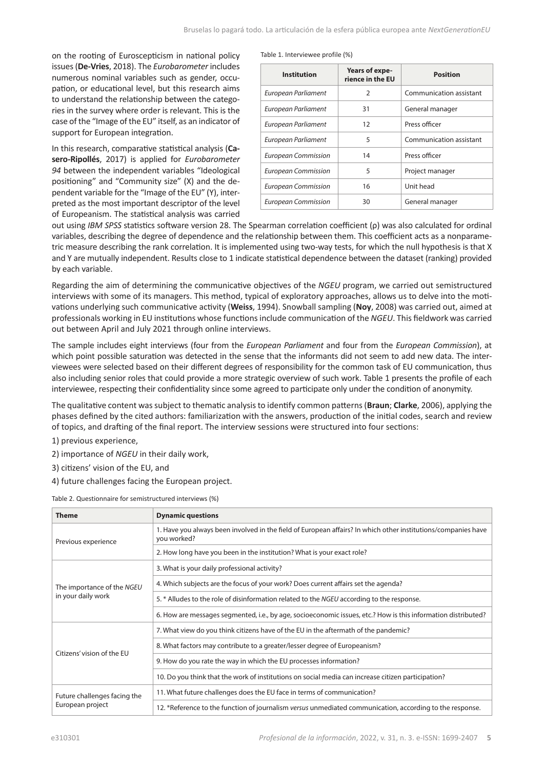on the rooting of Euroscepticism in national policy issues (**De-Vries**, 2018). The *Eurobarometer* includes numerous nominal variables such as gender, occupation, or educational level, but this research aims to understand the relationship between the categories in the survey where order is relevant. This is the case of the "Image of the EU" itself, as an indicator of support for European integration.

In this research, comparative statistical analysis (**Casero-Ripollés**, 2017) is applied for *Eurobarometer 94* between the independent variables "Ideological positioning" and "Community size" (X) and the dependent variable for the "Image of the EU" (Y), interpreted as the most important descriptor of the level of Europeanism. The statistical analysis was carried

|  | Table 1. Interviewee profile (%) |  |  |
|--|----------------------------------|--|--|
|  |                                  |  |  |

| <b>Institution</b>         | Years of expe-<br>rience in the EU | <b>Position</b>         |
|----------------------------|------------------------------------|-------------------------|
| European Parliament        | 2                                  | Communication assistant |
| European Parliament        | 31                                 | General manager         |
| European Parliament        | 12                                 | Press officer           |
| European Parliament        | 5                                  | Communication assistant |
| <b>European Commission</b> | 14                                 | Press officer           |
| <b>European Commission</b> | 5                                  | Project manager         |
| <b>European Commission</b> | 16                                 | Unit head               |
| <b>European Commission</b> | 30                                 | General manager         |

out using *IBM SPSS* statistics software version 28. The Spearman correlation coefficient (ρ) was also calculated for ordinal variables, describing the degree of dependence and the relationship between them. This coefficient acts as a nonparametric measure describing the rank correlation. It is implemented using two-way tests, for which the null hypothesis is that X and Y are mutually independent. Results close to 1 indicate statistical dependence between the dataset (ranking) provided by each variable.

Regarding the aim of determining the communicative objectives of the *NGEU* program, we carried out semistructured interviews with some of its managers. This method, typical of exploratory approaches, allows us to delve into the motivations underlying such communicative activity (**Weiss**, 1994). Snowball sampling (**Noy**, 2008) was carried out, aimed at professionals working in EU institutions whose functions include communication of the *NGEU*. This fieldwork was carried out between April and July 2021 through online interviews.

The sample includes eight interviews (four from the *European Parliament* and four from the *European Commission*), at which point possible saturation was detected in the sense that the informants did not seem to add new data. The interviewees were selected based on their different degrees of responsibility for the common task of EU communication, thus also including senior roles that could provide a more strategic overview of such work. Table 1 presents the profile of each interviewee, respecting their confidentiality since some agreed to participate only under the condition of anonymity.

The qualitative content was subject to thematic analysis to identify common patterns (**Braun**; **Clarke**, 2006), applying the phases defined by the cited authors: familiarization with the answers, production of the initial codes, search and review of topics, and drafting of the final report. The interview sessions were structured into four sections:

- 1) previous experience,
- 2) importance of *NGEU* in their daily work,
- 3) citizens' vision of the EU, and
- 4) future challenges facing the European project.

| <b>Theme</b>                                     | <b>Dynamic questions</b>                                                                                                     |  |  |  |
|--------------------------------------------------|------------------------------------------------------------------------------------------------------------------------------|--|--|--|
| Previous experience                              | 1. Have you always been involved in the field of European affairs? In which other institutions/companies have<br>you worked? |  |  |  |
|                                                  | 2. How long have you been in the institution? What is your exact role?                                                       |  |  |  |
|                                                  | 3. What is your daily professional activity?                                                                                 |  |  |  |
| The importance of the NGEU<br>in your daily work | 4. Which subjects are the focus of your work? Does current affairs set the agenda?                                           |  |  |  |
|                                                  | 5. * Alludes to the role of disinformation related to the NGEU according to the response.                                    |  |  |  |
|                                                  | 6. How are messages segmented, i.e., by age, socioeconomic issues, etc.? How is this information distributed?                |  |  |  |
|                                                  | 7. What view do you think citizens have of the EU in the aftermath of the pandemic?                                          |  |  |  |
| Citizens' vision of the EU                       | 8. What factors may contribute to a greater/lesser degree of Europeanism?                                                    |  |  |  |
|                                                  | 9. How do you rate the way in which the EU processes information?                                                            |  |  |  |
|                                                  | 10. Do you think that the work of institutions on social media can increase citizen participation?                           |  |  |  |
| Future challenges facing the<br>European project | 11. What future challenges does the EU face in terms of communication?                                                       |  |  |  |
|                                                  | 12. *Reference to the function of journalism versus unmediated communication, according to the response.                     |  |  |  |

Table 2. Questionnaire for semistructured interviews (%)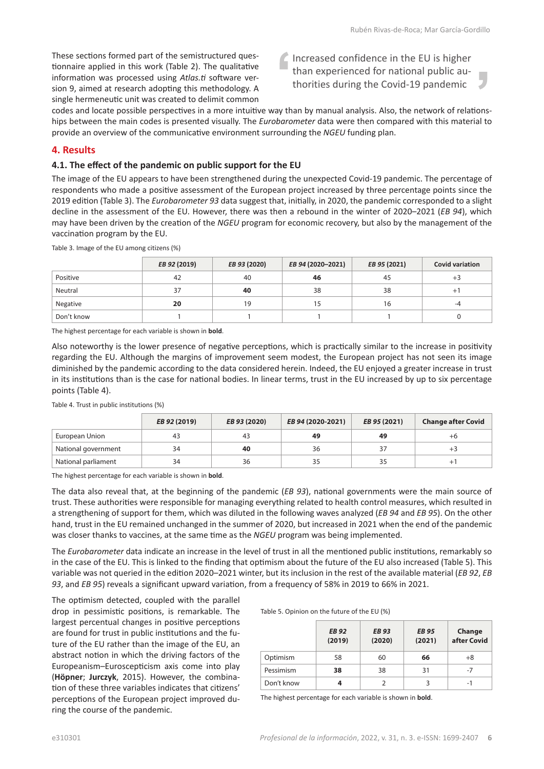These sections formed part of the semistructured questionnaire applied in this work (Table 2). The qualitative information was processed using *Atlas.ti* software version 9, aimed at research adopting this methodology. A single hermeneutic unit was created to delimit common Increased confidence in the EU is higher than experienced for national public authorities during the Covid-19 pandemic

codes and locate possible perspectives in a more intuitive way than by manual analysis. Also, the network of relationships between the main codes is presented visually. The *Eurobarometer* data were then compared with this material to provide an overview of the communicative environment surrounding the *NGEU* funding plan.

# **4. Results**

### **4.1. The effect of the pandemic on public support for the EU**

The image of the EU appears to have been strengthened during the unexpected Covid-19 pandemic. The percentage of respondents who made a positive assessment of the European project increased by three percentage points since the 2019 edition (Table 3). The *Eurobarometer 93* data suggest that, initially, in 2020, the pandemic corresponded to a slight decline in the assessment of the EU. However, there was then a rebound in the winter of 2020–2021 (*EB 94*), which may have been driven by the creation of the *NGEU* program for economic recovery, but also by the management of the vaccination program by the EU.

Table 3. Image of the EU among citizens (%)

|            | EB 92 (2019) | EB 93 (2020) | EB 94 (2020-2021) | EB 95 (2021) | <b>Covid variation</b> |
|------------|--------------|--------------|-------------------|--------------|------------------------|
| Positive   | 42           | 40           | 46                | 45           | $+3$                   |
| Neutral    | 37           | 40           | 38                | 38           | $+$                    |
| Negative   | 20           | 19           | 15                | 16           | -4                     |
| Don't know |              |              |                   |              |                        |

The highest percentage for each variable is shown in **bold**.

Also noteworthy is the lower presence of negative perceptions, which is practically similar to the increase in positivity regarding the EU. Although the margins of improvement seem modest, the European project has not seen its image diminished by the pandemic according to the data considered herein. Indeed, the EU enjoyed a greater increase in trust in its institutions than is the case for national bodies. In linear terms, trust in the EU increased by up to six percentage points (Table 4).

Table 4. Trust in public institutions (%)

|                     | EB 92 (2019) | EB 93 (2020) | EB 94 (2020-2021) | EB 95 (2021) | <b>Change after Covid</b> |
|---------------------|--------------|--------------|-------------------|--------------|---------------------------|
| European Union      | 43           | -43          | 49                | 49           | $+6$                      |
| National government | 34           | 40           | 36                | 37           | د+                        |
| National parliament | 34           | 36           |                   | 35           |                           |

The highest percentage for each variable is shown in **bold**.

The data also reveal that, at the beginning of the pandemic (*EB 93*), national governments were the main source of trust. These authorities were responsible for managing everything related to health control measures, which resulted in a strengthening of support for them, which was diluted in the following waves analyzed (*EB 94* and *EB 95*). On the other hand, trust in the EU remained unchanged in the summer of 2020, but increased in 2021 when the end of the pandemic was closer thanks to vaccines, at the same time as the *NGEU* program was being implemented.

The *Eurobarometer* data indicate an increase in the level of trust in all the mentioned public institutions, remarkably so in the case of the EU. This is linked to the finding that optimism about the future of the EU also increased (Table 5). This variable was not queried in the edition 2020–2021 winter, but its inclusion in the rest of the available material (*EB 92*, *EB 93*, and *EB 95*) reveals a significant upward variation, from a frequency of 58% in 2019 to 66% in 2021.

The optimism detected, coupled with the parallel drop in pessimistic positions, is remarkable. The largest percentual changes in positive perceptions are found for trust in public institutions and the future of the EU rather than the image of the EU, an abstract notion in which the driving factors of the Europeanism–Euroscepticism axis come into play (**Höpner**; **Jurczyk**, 2015). However, the combination of these three variables indicates that citizens' perceptions of the European project improved during the course of the pandemic.

| Table 5. Opinion on the future of the EU (%) |  |  |  |  |
|----------------------------------------------|--|--|--|--|
|----------------------------------------------|--|--|--|--|

|            | <b>EB 92</b><br>(2019) | <b>EB 93</b><br>(2020) | <b>EB 95</b><br>(2021) | Change<br>after Covid |
|------------|------------------------|------------------------|------------------------|-----------------------|
| Optimism   | 58                     | 60                     | 66                     | $+8$                  |
| Pessimism  | 38                     | 38                     | 31                     | -7                    |
| Don't know |                        |                        |                        | -1                    |

The highest percentage for each variable is shown in **bold**.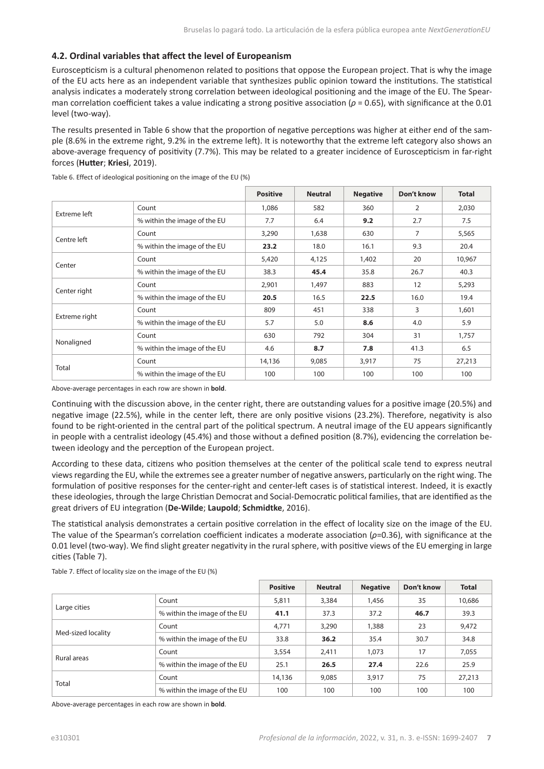#### **4.2. Ordinal variables that affect the level of Europeanism**

Euroscepticism is a cultural phenomenon related to positions that oppose the European project. That is why the image of the EU acts here as an independent variable that synthesizes public opinion toward the institutions. The statistical analysis indicates a moderately strong correlation between ideological positioning and the image of the EU. The Spearman correlation coefficient takes a value indicating a strong positive association (*ρ* = 0.65), with significance at the 0.01 level (two-way).

The results presented in Table 6 show that the proportion of negative perceptions was higher at either end of the sample (8.6% in the extreme right, 9.2% in the extreme left). It is noteworthy that the extreme left category also shows an above-average frequency of positivity (7.7%). This may be related to a greater incidence of Euroscepticism in far-right forces (**Hutter**; **Kriesi**, 2019).

|               |                              | <b>Positive</b> | <b>Neutral</b> | <b>Negative</b> | Don't know                     | <b>Total</b> |
|---------------|------------------------------|-----------------|----------------|-----------------|--------------------------------|--------------|
| Extreme left  | Count                        | 1,086           | 582            | 360             | $\overline{2}$                 | 2,030        |
|               | % within the image of the EU | 7.7             | 6.4            | 9.2             | 2.7                            | 7.5          |
|               | Count                        | 3,290           | 1,638          | 630             | $\overline{7}$                 | 5,565        |
| Centre left   | % within the image of the EU | 23.2            | 18.0<br>16.1   | 9.3             | 20.4                           |              |
|               | Count                        | 5,420           | 4,125          | 1,402           | 20                             | 10,967       |
| Center        | % within the image of the EU | 38.3            | 45.4           | 35.8            | 26.7                           | 40.3         |
|               | Count                        | 2,901           | 1,497          | 883             | 12                             | 5,293        |
| Center right  | % within the image of the EU | 20.5            | 16.5           | 22.5            | 16.0                           | 19.4         |
|               | Count                        | 809             | 451            | 338             | 3                              | 1,601        |
| Extreme right | % within the image of the EU | 5.7             | 5.0            | 8.6             | 4.0<br>31<br>41.3<br>75<br>100 | 5.9          |
|               | Count                        | 630             | 792            | 304             |                                | 1,757        |
| Nonaligned    | % within the image of the EU | 4.6             | 8.7            | 7.8             |                                | 6.5          |
|               | Count                        | 14,136          | 9,085          | 3,917           |                                | 27,213       |
| Total         | % within the image of the EU | 100             | 100            | 100             |                                | 100          |

Table 6. Effect of ideological positioning on the image of the EU (%)

Above-average percentages in each row are shown in **bold**.

Continuing with the discussion above, in the center right, there are outstanding values for a positive image (20.5%) and negative image (22.5%), while in the center left, there are only positive visions (23.2%). Therefore, negativity is also found to be right-oriented in the central part of the political spectrum. A neutral image of the EU appears significantly in people with a centralist ideology (45.4%) and those without a defined position (8.7%), evidencing the correlation between ideology and the perception of the European project.

According to these data, citizens who position themselves at the center of the political scale tend to express neutral views regarding the EU, while the extremes see a greater number of negative answers, particularly on the right wing. The formulation of positive responses for the center-right and center-left cases is of statistical interest. Indeed, it is exactly these ideologies, through the large Christian Democrat and Social-Democratic political families, that are identified as the great drivers of EU integration (**De-Wilde**; **Laupold**; **Schmidtke**, 2016).

The statistical analysis demonstrates a certain positive correlation in the effect of locality size on the image of the EU. The value of the Spearman's correlation coefficient indicates a moderate association (*ρ*=0.36), with significance at the 0.01 level (two-way). We find slight greater negativity in the rural sphere, with positive views of the EU emerging in large cities (Table 7).

|                    |                              | <b>Positive</b> | <b>Neutral</b> | <b>Negative</b> | Don't know | <b>Total</b> |
|--------------------|------------------------------|-----------------|----------------|-----------------|------------|--------------|
|                    | Count                        | 5,811           | 3,384          | 1,456           | 35         | 10,686       |
| Large cities       | % within the image of the EU | 41.1            | 37.3           | 37.2            | 46.7       | 39.3         |
|                    | Count                        | 4,771           | 3,290          | 1,388           | 23         | 9,472        |
| Med-sized locality | % within the image of the EU | 33.8            | 36.2           | 35.4            | 30.7       | 34.8         |
| Rural areas        | Count                        | 3,554           | 2,411          | 1,073           | 17         | 7,055        |
|                    | % within the image of the EU | 25.1            | 26.5           | 27.4            | 22.6       | 25.9         |
|                    | Count                        | 14,136          | 9,085          | 3,917           | 75         | 27,213       |
| Total              | % within the image of the EU | 100             | 100            | 100             | 100        | 100          |

Table 7. Effect of locality size on the image of the EU (%)

Above-average percentages in each row are shown in **bold**.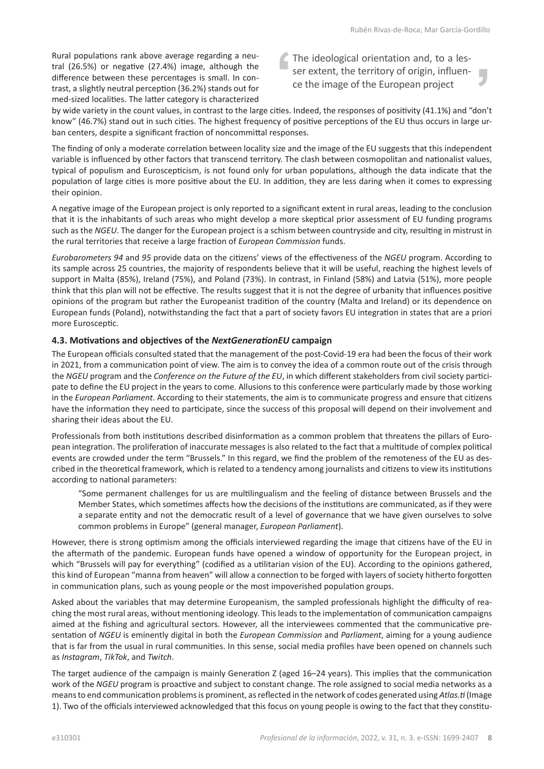Rural populations rank above average regarding a neutral (26.5%) or negative (27.4%) image, although the difference between these percentages is small. In contrast, a slightly neutral perception (36.2%) stands out for med-sized localities. The latter category is characterized The ideological orientation and, to a lesser extent, the territory of origin, influence the image of the European project

by wide variety in the count values, in contrast to the large cities. Indeed, the responses of positivity (41.1%) and "don't know" (46.7%) stand out in such cities. The highest frequency of positive perceptions of the EU thus occurs in large urban centers, despite a significant fraction of noncommittal responses.

The finding of only a moderate correlation between locality size and the image of the EU suggests that this independent variable is influenced by other factors that transcend territory. The clash between cosmopolitan and nationalist values, typical of populism and Euroscepticism, is not found only for urban populations, although the data indicate that the population of large cities is more positive about the EU. In addition, they are less daring when it comes to expressing their opinion.

A negative image of the European project is only reported to a significant extent in rural areas, leading to the conclusion that it is the inhabitants of such areas who might develop a more skeptical prior assessment of EU funding programs such as the *NGEU*. The danger for the European project is a schism between countryside and city, resulting in mistrust in the rural territories that receive a large fraction of *European Commission* funds.

*Eurobarometers 94* and *95* provide data on the citizens' views of the effectiveness of the *NGEU* program. According to its sample across 25 countries, the majority of respondents believe that it will be useful, reaching the highest levels of support in Malta (85%), Ireland (75%), and Poland (73%). In contrast, in Finland (58%) and Latvia (51%), more people think that this plan will not be effective. The results suggest that it is not the degree of urbanity that influences positive opinions of the program but rather the Europeanist tradition of the country (Malta and Ireland) or its dependence on European funds (Poland), notwithstanding the fact that a part of society favors EU integration in states that are a priori more Eurosceptic.

# **4.3. Motivations and objectives of the** *NextGenerationEU* **campaign**

The European officials consulted stated that the management of the post-Covid-19 era had been the focus of their work in 2021, from a communication point of view. The aim is to convey the idea of a common route out of the crisis through the *NGEU* program and the *Conference on the Future of the EU*, in which different stakeholders from civil society participate to define the EU project in the years to come. Allusions to this conference were particularly made by those working in the *European Parliament*. According to their statements, the aim is to communicate progress and ensure that citizens have the information they need to participate, since the success of this proposal will depend on their involvement and sharing their ideas about the EU.

Professionals from both institutions described disinformation as a common problem that threatens the pillars of European integration. The proliferation of inaccurate messages is also related to the fact that a multitude of complex political events are crowded under the term "Brussels." In this regard, we find the problem of the remoteness of the EU as described in the theoretical framework, which is related to a tendency among journalists and citizens to view its institutions according to national parameters:

"Some permanent challenges for us are multilingualism and the feeling of distance between Brussels and the Member States, which sometimes affects how the decisions of the institutions are communicated, as if they were a separate entity and not the democratic result of a level of governance that we have given ourselves to solve common problems in Europe" (general manager, *European Parliament*).

However, there is strong optimism among the officials interviewed regarding the image that citizens have of the EU in the aftermath of the pandemic. European funds have opened a window of opportunity for the European project, in which "Brussels will pay for everything" (codified as a utilitarian vision of the EU). According to the opinions gathered, this kind of European "manna from heaven" will allow a connection to be forged with layers of society hitherto forgotten in communication plans, such as young people or the most impoverished population groups.

Asked about the variables that may determine Europeanism, the sampled professionals highlight the difficulty of reaching the most rural areas, without mentioning ideology. This leads to the implementation of communication campaigns aimed at the fishing and agricultural sectors. However, all the interviewees commented that the communicative presentation of *NGEU* is eminently digital in both the *European Commission* and *Parliament*, aiming for a young audience that is far from the usual in rural communities. In this sense, social media profiles have been opened on channels such as *Instagram*, *TikTok*, and *Twitch*.

The target audience of the campaign is mainly Generation Z (aged 16–24 years). This implies that the communication work of the *NGEU* program is proactive and subject to constant change. The role assigned to social media networks as a means to end communication problems is prominent, as reflected in the network of codes generated using *Atlas.ti* (Image 1). Two of the officials interviewed acknowledged that this focus on young people is owing to the fact that they constitu-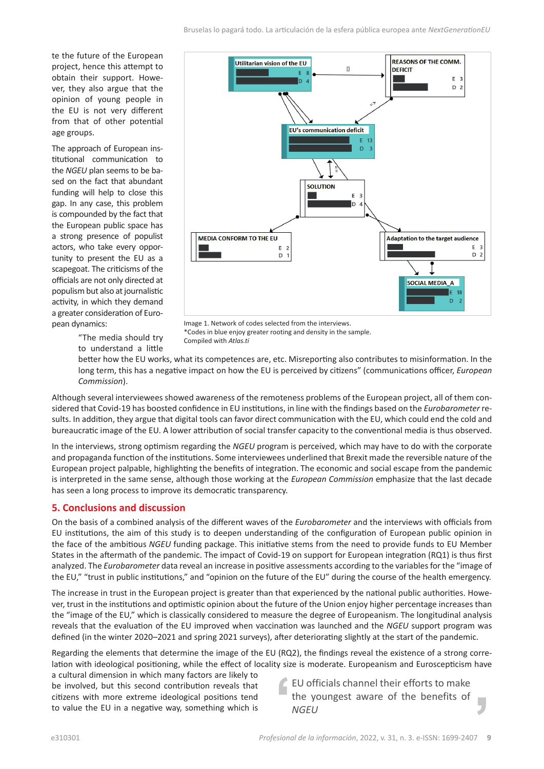te the future of the European project, hence this attempt to obtain their support. However, they also argue that the opinion of young people in the EU is not very different from that of other potential age groups.

The approach of European institutional communication to the *NGEU* plan seems to be based on the fact that abundant funding will help to close this gap. In any case, this problem is compounded by the fact that the European public space has a strong presence of populist actors, who take every opportunity to present the EU as a scapegoat. The criticisms of the officials are not only directed at populism but also at journalistic activity, in which they demand a greater consideration of European dynamics:



Image 1. Network of codes selected from the interviews. \*Codes in blue enjoy greater rooting and density in the sample. Compiled with *Atlas.ti*

"The media should try to understand a little

better how the EU works, what its competences are, etc. Misreporting also contributes to misinformation. In the long term, this has a negative impact on how the EU is perceived by citizens" (communications officer, *European Commission*).

Although several interviewees showed awareness of the remoteness problems of the European project, all of them considered that Covid-19 has boosted confidence in EU institutions, in line with the findings based on the *Eurobarometer* results. In addition, they argue that digital tools can favor direct communication with the EU, which could end the cold and bureaucratic image of the EU. A lower attribution of social transfer capacity to the conventional media is thus observed.

In the interviews, strong optimism regarding the *NGEU* program is perceived, which may have to do with the corporate and propaganda function of the institutions. Some interviewees underlined that Brexit made the reversible nature of the European project palpable, highlighting the benefits of integration. The economic and social escape from the pandemic is interpreted in the same sense, although those working at the *European Commission* emphasize that the last decade has seen a long process to improve its democratic transparency.

# **5. Conclusions and discussion**

On the basis of a combined analysis of the different waves of the *Eurobarometer* and the interviews with officials from EU institutions, the aim of this study is to deepen understanding of the configuration of European public opinion in the face of the ambitious *NGEU* funding package. This initiative stems from the need to provide funds to EU Member States in the aftermath of the pandemic. The impact of Covid-19 on support for European integration (RQ1) is thus first analyzed. The *Eurobarometer* data reveal an increase in positive assessments according to the variables for the "image of the EU," "trust in public institutions," and "opinion on the future of the EU" during the course of the health emergency.

The increase in trust in the European project is greater than that experienced by the national public authorities. However, trust in the institutions and optimistic opinion about the future of the Union enjoy higher percentage increases than the "image of the EU," which is classically considered to measure the degree of Europeanism. The longitudinal analysis reveals that the evaluation of the EU improved when vaccination was launched and the *NGEU* support program was defined (in the winter 2020–2021 and spring 2021 surveys), after deteriorating slightly at the start of the pandemic.

Regarding the elements that determine the image of the EU (RQ2), the findings reveal the existence of a strong correlation with ideological positioning, while the effect of locality size is moderate. Europeanism and Euroscepticism have

a cultural dimension in which many factors are likely to be involved, but this second contribution reveals that citizens with more extreme ideological positions tend to value the EU in a negative way, something which is

EU officials channel their efforts to make the youngest aware of the benefits of п *NGEU*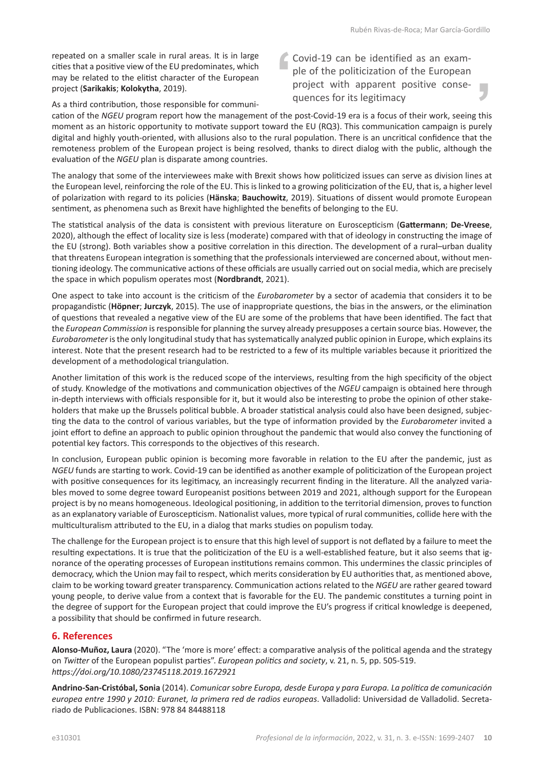repeated on a smaller scale in rural areas. It is in large cities that a positive view of the EU predominates, which may be related to the elitist character of the European project (**Sarikakis**; **Kolokytha**, 2019).

Covid-19 can be identified as an example of the politicization of the European project with apparent positive consequences for its legitimacy

As a third contribution, those responsible for communi-

cation of the *NGEU* program report how the management of the post-Covid-19 era is a focus of their work, seeing this moment as an historic opportunity to motivate support toward the EU (RQ3). This communication campaign is purely digital and highly youth-oriented, with allusions also to the rural population. There is an uncritical confidence that the remoteness problem of the European project is being resolved, thanks to direct dialog with the public, although the evaluation of the *NGEU* plan is disparate among countries.

The analogy that some of the interviewees make with Brexit shows how politicized issues can serve as division lines at the European level, reinforcing the role of the EU. This is linked to a growing politicization of the EU, that is, a higher level of polarization with regard to its policies (**Hänska**; **Bauchowitz**, 2019). Situations of dissent would promote European sentiment, as phenomena such as Brexit have highlighted the benefits of belonging to the EU.

The statistical analysis of the data is consistent with previous literature on Euroscepticism (**Gattermann**; **De-Vreese**, 2020), although the effect of locality size is less (moderate) compared with that of ideology in constructing the image of the EU (strong). Both variables show a positive correlation in this direction. The development of a rural–urban duality that threatens European integration is something that the professionals interviewed are concerned about, without mentioning ideology. The communicative actions of these officials are usually carried out on social media, which are precisely the space in which populism operates most (**Nordbrandt**, 2021).

One aspect to take into account is the criticism of the *Eurobarometer* by a sector of academia that considers it to be propagandistic (**Höpner**; **Jurczyk**, 2015). The use of inappropriate questions, the bias in the answers, or the elimination of questions that revealed a negative view of the EU are some of the problems that have been identified. The fact that the *European Commission* is responsible for planning the survey already presupposes a certain source bias. However, the *Eurobarometer* is the only longitudinal study that has systematically analyzed public opinion in Europe, which explains its interest. Note that the present research had to be restricted to a few of its multiple variables because it prioritized the development of a methodological triangulation.

Another limitation of this work is the reduced scope of the interviews, resulting from the high specificity of the object of study. Knowledge of the motivations and communication objectives of the *NGEU* campaign is obtained here through in-depth interviews with officials responsible for it, but it would also be interesting to probe the opinion of other stakeholders that make up the Brussels political bubble. A broader statistical analysis could also have been designed, subjecting the data to the control of various variables, but the type of information provided by the *Eurobarometer* invited a joint effort to define an approach to public opinion throughout the pandemic that would also convey the functioning of potential key factors. This corresponds to the objectives of this research.

In conclusion, European public opinion is becoming more favorable in relation to the EU after the pandemic, just as *NGEU* funds are starting to work. Covid-19 can be identified as another example of politicization of the European project with positive consequences for its legitimacy, an increasingly recurrent finding in the literature. All the analyzed variables moved to some degree toward Europeanist positions between 2019 and 2021, although support for the European project is by no means homogeneous. Ideological positioning, in addition to the territorial dimension, proves to function as an explanatory variable of Euroscepticism. Nationalist values, more typical of rural communities, collide here with the multiculturalism attributed to the EU, in a dialog that marks studies on populism today.

The challenge for the European project is to ensure that this high level of support is not deflated by a failure to meet the resulting expectations. It is true that the politicization of the EU is a well-established feature, but it also seems that ignorance of the operating processes of European institutions remains common. This undermines the classic principles of democracy, which the Union may fail to respect, which merits consideration by EU authorities that, as mentioned above, claim to be working toward greater transparency. Communication actions related to the *NGEU* are rather geared toward young people, to derive value from a context that is favorable for the EU. The pandemic constitutes a turning point in the degree of support for the European project that could improve the EU's progress if critical knowledge is deepened, a possibility that should be confirmed in future research.

# **6. References**

**Alonso-Muñoz, Laura** (2020). "The 'more is more' effect: a comparative analysis of the political agenda and the strategy on *Twitter* of the European populist parties". *European politics and society*, v. 21, n. 5, pp. 505-519. *<https://doi.org/10.1080/23745118.2019.1672921>*

**Andrino-San-Cristóbal, Sonia** (2014). *Comunicar sobre Europa, desde Europa y para Europa. La política de comunicación europea entre 1990 y 2010: Euranet, la primera red de radios europeas*. Valladolid: Universidad de Valladolid. Secretariado de Publicaciones. ISBN: 978 84 84488118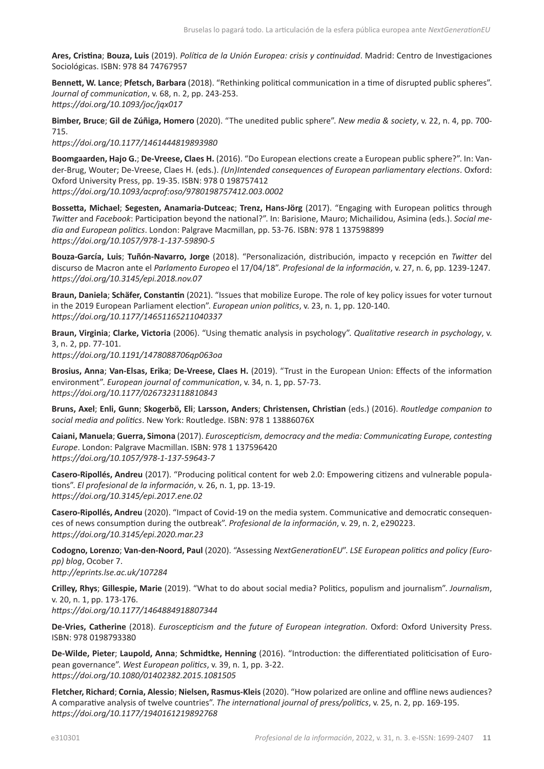**Ares, Cristina**; **Bouza, Luis** (2019). *Política de la Unión Europea: crisis y continuidad*. Madrid: Centro de Investigaciones Sociológicas. ISBN: 978 84 74767957

**Bennett, W. Lance**; **Pfetsch, Barbara** (2018). "Rethinking political communication in a time of disrupted public spheres". *Journal of communication*, v. 68, n. 2, pp. 243-253. *<https://doi.org/10.1093/joc/jqx017>*

**Bimber, Bruce**; **Gil de Zúñiga, Homero** (2020). "The unedited public sphere". *New media & society*, v. 22, n. 4, pp. 700- 715.

*<https://doi.org/10.1177/1461444819893980>*

**Boomgaarden, Hajo G.**; **De-Vreese, Claes H.** (2016). "Do European elections create a European public sphere?". In: Vander-Brug, Wouter; De-Vreese, Claes H. (eds.). *(Un)Intended consequences of European parliamentary elections*. Oxford: Oxford University Press, pp. 19-35. ISBN: 978 0 198757412 *<https://doi.org/10.1093/acprof:oso/9780198757412.003.0002>*

**Bossetta, Michael**; **Segesten, Anamaria-Dutceac**; **Trenz, Hans-Jörg** (2017). "Engaging with European politics through *Twitter* and *Facebook*: Participation beyond the national?". In: Barisione, Mauro; Michailidou, Asimina (eds.). *Social media and European politics*. London: Palgrave Macmillan, pp. 53-76. ISBN: 978 1 137598899 *<https://doi.org/10.1057/978-1-137-59890-5>*

**Bouza-García, Luis**; **Tuñón-Navarro, Jorge** (2018). "Personalización, distribución, impacto y recepción en *Twitter* del discurso de Macron ante el *Parlamento Europeo* el 17/04/18". *Profesional de la información*, v. 27, n. 6, pp. 1239-1247. *<https://doi.org/10.3145/epi.2018.nov.07>*

**Braun, Daniela**; **Schäfer, Constantin** (2021). "Issues that mobilize Europe. The role of key policy issues for voter turnout in the 2019 European Parliament election". *European union politics*, v. 23, n. 1, pp. 120-140. *<https://doi.org/10.1177/14651165211040337>*

**Braun, Virginia**; **Clarke, Victoria** (2006). "Using thematic analysis in psychology". *Qualitative research in psychology*, v. 3, n. 2, pp. 77-101.

*<https://doi.org/10.1191/1478088706qp063oa>*

**Brosius, Anna**; **Van-Elsas, Erika**; **De-Vreese, Claes H.** (2019). "Trust in the European Union: Effects of the information environment". *European journal of communication*, v. 34, n. 1, pp. 57-73. *<https://doi.org/10.1177/0267323118810843>*

**Bruns, Axel**; **Enli, Gunn**; **Skogerbö, Eli**; **Larsson, Anders**; **Christensen, Christian** (eds.) (2016). *Routledge companion to social media and politics*. New York: Routledge. ISBN: 978 1 13886076X

**Caiani, Manuela**; **Guerra, Simona** (2017). *Euroscepticism, democracy and the media: Communicating Europe, contesting Europe*. London: Palgrave Macmillan. ISBN: 978 1 137596420 *<https://doi.org/10.1057/978-1-137-59643-7>*

**Casero-Ripollés, Andreu** (2017). "Producing political content for web 2.0: Empowering citizens and vulnerable populations". *El profesional de la información*, v. 26, n. 1, pp. 13-19. *<https://doi.org/10.3145/epi.2017.ene.02>*

**Casero-Ripollés, Andreu** (2020). "Impact of Covid-19 on the media system. Communicative and democratic consequences of news consumption during the outbreak". *Profesional de la información*, v. 29, n. 2, e290223. *<https://doi.org/10.3145/epi.2020.mar.23>*

**Codogno, Lorenzo**; **Van-den-Noord, Paul** (2020). "Assessing *NextGenerationEU*". *LSE European politics and policy (Europp) blog*, Ocober 7. *<http://eprints.lse.ac.uk/107284>*

**Crilley, Rhys**; **Gillespie, Marie** (2019). "What to do about social media? Politics, populism and journalism". *Journalism*, v. 20, n. 1, pp. 173-176. *<https://doi.org/10.1177/1464884918807344>*

**De-Vries, Catherine** (2018). *Euroscepticism and the future of European integration*. Oxford: Oxford University Press. ISBN: 978 0198793380

**De-Wilde, Pieter**; **Laupold, Anna**; **Schmidtke, Henning** (2016). "Introduction: the differentiated politicisation of European governance". *West European politics*, v. 39, n. 1, pp. 3-22. *<https://doi.org/10.1080/01402382.2015.1081505>*

**Fletcher, Richard**; **Cornia, Alessio**; **Nielsen, Rasmus-Kleis** (2020). "How polarized are online and offline news audiences? A comparative analysis of twelve countries". *The international journal of press/politics*, v. 25, n. 2, pp. 169-195. *<https://doi.org/10.1177/1940161219892768>*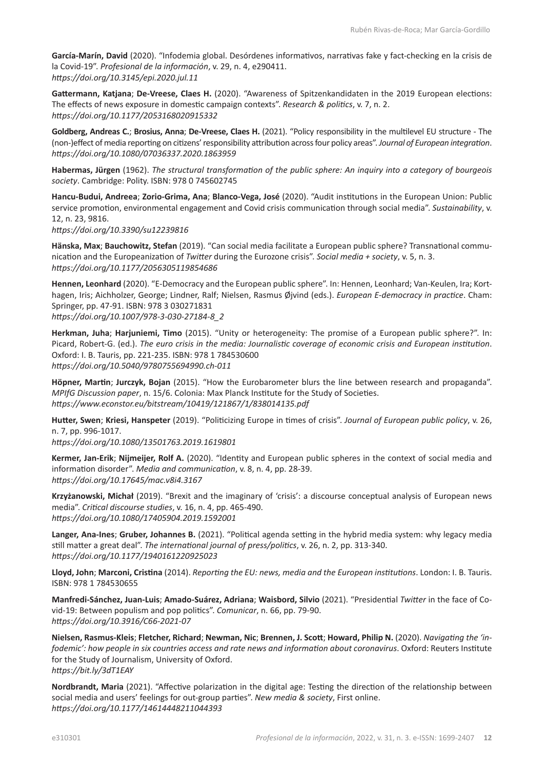**García-Marín, David** (2020). "Infodemia global. Desórdenes informativos, narrativas fake y fact-checking en la crisis de la Covid-19". *Profesional de la información*, v. 29, n. 4, e290411. *<https://doi.org/10.3145/epi.2020.jul.11>*

**Gattermann, Katjana**; **De-Vreese, Claes H.** (2020). "Awareness of Spitzenkandidaten in the 2019 European elections: The effects of news exposure in domestic campaign contexts". *Research & politics*, v. 7, n. 2. *https://doi.org[/10.1177/2053168020915332](https://doi.org/10.1177/2053168020915332)*

**Goldberg, Andreas C.**; **Brosius, Anna**; **De-Vreese, Claes H.** (2021). "Policy responsibility in the multilevel EU structure - The (non-)effect of media reporting on citizens' responsibility attribution across four policy areas". *Journal of European integration*. *<https://doi.org/10.1080/07036337.2020.1863959>*

**Habermas, Jürgen** (1962). *The structural transformation of the public sphere: An inquiry into a category of bourgeois society*. Cambridge: Polity. ISBN: 978 0 745602745

**Hancu-Budui, Andreea**; **Zorio-Grima, Ana**; **Blanco-Vega, José** (2020). "Audit institutions in the European Union: Public service promotion, environmental engagement and Covid crisis communication through social media". *Sustainability*, v. 12, n. 23, 9816.

*<https://doi.org/10.3390/su12239816>*

**Hänska, Max**; **Bauchowitz, Stefan** (2019). "Can social media facilitate a European public sphere? Transnational communication and the Europeanization of *Twitter* during the Eurozone crisis". *Social media + society*, v. 5, n. 3. *<https://doi.org/10.1177/2056305119854686>*

**Hennen, Leonhard** (2020). "E-Democracy and the European public sphere". In: Hennen, Leonhard; Van-Keulen, Ira; Korthagen, Iris; Aichholzer, George; Lindner, Ralf; Nielsen, Rasmus Øjvind (eds.). *European E-democracy in practice*. Cham: Springer, pp. 47-91. ISBN: 978 3 030271831 *[https://doi.org/10.1007/978-3-030-27184-8\\_2](https://doi.org/10.1007/978-3-030-27184-8_2)*

**Herkman, Juha**; **Harjuniemi, Timo** (2015). "Unity or heterogeneity: The promise of a European public sphere?". In: Picard, Robert-G. (ed.). *The euro crisis in the media: Journalistic coverage of economic crisis and European institution*. Oxford: I. B. Tauris, pp. 221-235. ISBN: 978 1 784530600 *<https://doi.org/10.5040/9780755694990.ch-011>*

**Höpner, Martin**; **Jurczyk, Bojan** (2015). "How the Eurobarometer blurs the line between research and propaganda". *MPIfG Discussion paper*, n. 15/6. Colonia: Max Planck Institute for the Study of Societies. *<https://www.econstor.eu/bitstream/10419/121867/1/838014135.pdf>*

**Hutter, Swen**; **Kriesi, Hanspeter** (2019). "Politicizing Europe in times of crisis". *Journal of European public policy*, v. 26, n. 7, pp. 996-1017.

*<https://doi.org/10.1080/13501763.2019.1619801>*

**Kermer, Jan-Erik**; **Nijmeijer, Rolf A.** (2020). "Identity and European public spheres in the context of social media and information disorder". *Media and communication*, v. 8, n. 4, pp. 28-39. *<https://doi.org/10.17645/mac.v8i4.3167>*

**Krzyżanowski, Michał** (2019). "Brexit and the imaginary of 'crisis': a discourse conceptual analysis of European news media". *Critical discourse studies*, v. 16, n. 4, pp. 465-490. *<https://doi.org/10.1080/17405904.2019.1592001>*

**Langer, Ana-Ines**; **Gruber, Johannes B.** (2021). "Political agenda setting in the hybrid media system: why legacy media still matter a great deal". *The international journal of press/politics*, v. 26, n. 2, pp. 313-340. *<https://doi.org/10.1177/1940161220925023>*

**Lloyd, John**; **Marconi, Cristina** (2014). *Reporting the EU: news, media and the European institutions*. London: I. B. Tauris. ISBN: 978 1 784530655

**Manfredi-Sánchez, Juan-Luis**; **Amado-Suárez, Adriana**; **Waisbord, Silvio** (2021). "Presidential *Twitter* in the face of Covid-19: Between populism and pop politics". *Comunicar*, n. 66, pp. 79-90. *<https://doi.org/10.3916/C66-2021-07>*

**Nielsen, Rasmus-Kleis**; **Fletcher, Richard**; **Newman, Nic**; **Brennen, J. Scott**; **Howard, Philip N.** (2020). *Navigating the 'infodemic': how people in six countries access and rate news and information about coronavirus*. Oxford: Reuters Institute for the Study of Journalism, University of Oxford. *<https://bit.ly/3dT1EAY>*

**Nordbrandt, Maria** (2021). "Affective polarization in the digital age: Testing the direction of the relationship between social media and users' feelings for out-group parties". *New media & society*, First online. *<https://doi.org/10.1177/14614448211044393>*